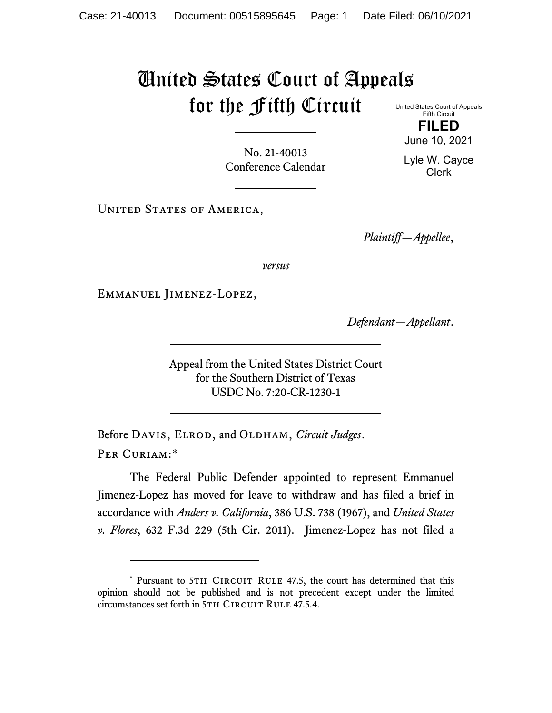## United States Court of Appeals for the Fifth Circuit United States Court of Appeals

No. 21-40013 Conference Calendar

Fifth Circuit **FILED**

June 10, 2021

Lyle W. Cayce Clerk

UNITED STATES OF AMERICA,

*Plaintiff—Appellee*,

*versus*

Emmanuel Jimenez-Lopez,

*Defendant—Appellant*.

Appeal from the United States District Court for the Southern District of Texas USDC No. 7:20-CR-1230-1

Before DAVIS, ELROD, and OLDHAM, *Circuit Judges*. Per Curiam:[\\*](#page-0-0)

The Federal Public Defender appointed to represent Emmanuel Jimenez-Lopez has moved for leave to withdraw and has filed a brief in accordance with *Anders v. California*, 386 U.S. 738 (1967), and *United States v. Flores*, 632 F.3d 229 (5th Cir. 2011). Jimenez-Lopez has not filed a

<span id="page-0-0"></span><sup>\*</sup> Pursuant to 5TH CIRCUIT RULE 47.5, the court has determined that this opinion should not be published and is not precedent except under the limited circumstances set forth in 5TH CIRCUIT RULE 47.5.4.